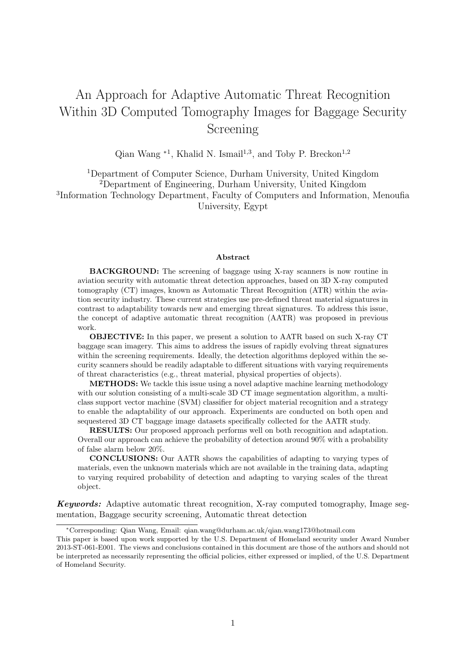# An Approach for Adaptive Automatic Threat Recognition Within 3D Computed Tomography Images for Baggage Security Screening

Qian Wang  $*1$ , Khalid N. Ismail<sup>1,3</sup>, and Toby P. Breckon<sup>1,2</sup>

<sup>1</sup>Department of Computer Science, Durham University, United Kingdom <sup>2</sup>Department of Engineering, Durham University, United Kingdom 3 Information Technology Department, Faculty of Computers and Information, Menoufia University, Egypt

#### Abstract

BACKGROUND: The screening of baggage using X-ray scanners is now routine in aviation security with automatic threat detection approaches, based on 3D X-ray computed tomography (CT) images, known as Automatic Threat Recognition (ATR) within the aviation security industry. These current strategies use pre-defined threat material signatures in contrast to adaptability towards new and emerging threat signatures. To address this issue, the concept of adaptive automatic threat recognition (AATR) was proposed in previous work.

OBJECTIVE: In this paper, we present a solution to AATR based on such X-ray CT baggage scan imagery. This aims to address the issues of rapidly evolving threat signatures within the screening requirements. Ideally, the detection algorithms deployed within the security scanners should be readily adaptable to different situations with varying requirements of threat characteristics (e.g., threat material, physical properties of objects).

METHODS: We tackle this issue using a novel adaptive machine learning methodology with our solution consisting of a multi-scale 3D CT image segmentation algorithm, a multiclass support vector machine (SVM) classifier for object material recognition and a strategy to enable the adaptability of our approach. Experiments are conducted on both open and sequestered 3D CT baggage image datasets specifically collected for the AATR study.

RESULTS: Our proposed approach performs well on both recognition and adaptation. Overall our approach can achieve the probability of detection around 90% with a probability of false alarm below 20%.

CONCLUSIONS: Our AATR shows the capabilities of adapting to varying types of materials, even the unknown materials which are not available in the training data, adapting to varying required probability of detection and adapting to varying scales of the threat object.

Keywords: Adaptive automatic threat recognition, X-ray computed tomography, Image segmentation, Baggage security screening, Automatic threat detection

<sup>∗</sup>Corresponding: Qian Wang, Email: qian.wang@durham.ac.uk/qian.wang173@hotmail.com

This paper is based upon work supported by the U.S. Department of Homeland security under Award Number 2013-ST-061-E001. The views and conclusions contained in this document are those of the authors and should not be interpreted as necessarily representing the official policies, either expressed or implied, of the U.S. Department of Homeland Security.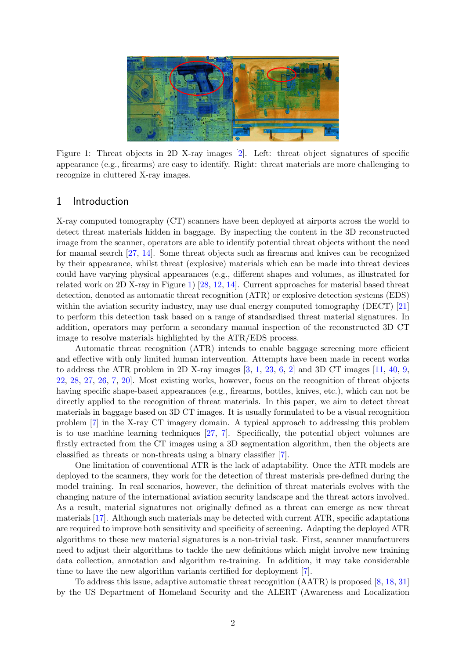<span id="page-1-0"></span>

Figure 1: Threat objects in 2D X-ray images [\[2\]](#page-21-0). Left: threat object signatures of specific appearance (e.g., firearms) are easy to identify. Right: threat materials are more challenging to recognize in cluttered X-ray images.

## 1 Introduction

X-ray computed tomography (CT) scanners have been deployed at airports across the world to detect threat materials hidden in baggage. By inspecting the content in the 3D reconstructed image from the scanner, operators are able to identify potential threat objects without the need for manual search [\[27,](#page-23-0) [14\]](#page-22-0). Some threat objects such as firearms and knives can be recognized by their appearance, whilst threat (explosive) materials which can be made into threat devices could have varying physical appearances (e.g., different shapes and volumes, as illustrated for related work on 2D X-ray in Figure [1\)](#page-1-0) [\[28,](#page-23-1) [12,](#page-22-1) [14\]](#page-22-0). Current approaches for material based threat detection, denoted as automatic threat recognition (ATR) or explosive detection systems (EDS) within the aviation security industry, may use dual energy computed tomography (DECT) [\[21\]](#page-22-2) to perform this detection task based on a range of standardised threat material signatures. In addition, operators may perform a secondary manual inspection of the reconstructed 3D CT image to resolve materials highlighted by the ATR/EDS process.

Automatic threat recognition (ATR) intends to enable baggage screening more efficient and effective with only limited human intervention. Attempts have been made in recent works to address the ATR problem in 2D X-ray images  $[3, 1, 23, 6, 2]$  $[3, 1, 23, 6, 2]$  $[3, 1, 23, 6, 2]$  $[3, 1, 23, 6, 2]$  $[3, 1, 23, 6, 2]$  $[3, 1, 23, 6, 2]$  $[3, 1, 23, 6, 2]$  $[3, 1, 23, 6, 2]$  $[3, 1, 23, 6, 2]$  and 3D CT images  $[11, 40, 9, 4]$  $[11, 40, 9, 4]$  $[11, 40, 9, 4]$  $[11, 40, 9, 4]$  $[11, 40, 9, 4]$  $[11, 40, 9, 4]$ [22,](#page-22-4) [28,](#page-23-1) [27,](#page-23-0) [26,](#page-23-3) [7,](#page-21-6) [20\]](#page-22-5). Most existing works, however, focus on the recognition of threat objects having specific shape-based appearances (e.g., firearms, bottles, knives, etc.), which can not be directly applied to the recognition of threat materials. In this paper, we aim to detect threat materials in baggage based on 3D CT images. It is usually formulated to be a visual recognition problem [\[7\]](#page-21-6) in the X-ray CT imagery domain. A typical approach to addressing this problem is to use machine learning techniques [\[27,](#page-23-0) [7\]](#page-21-6). Specifically, the potential object volumes are firstly extracted from the CT images using a 3D segmentation algorithm, then the objects are classified as threats or non-threats using a binary classifier [\[7\]](#page-21-6).

One limitation of conventional ATR is the lack of adaptability. Once the ATR models are deployed to the scanners, they work for the detection of threat materials pre-defined during the model training. In real scenarios, however, the definition of threat materials evolves with the changing nature of the international aviation security landscape and the threat actors involved. As a result, material signatures not originally defined as a threat can emerge as new threat materials [\[17\]](#page-22-6). Although such materials may be detected with current ATR, specific adaptations are required to improve both sensitivity and specificity of screening. Adapting the deployed ATR algorithms to these new material signatures is a non-trivial task. First, scanner manufacturers need to adjust their algorithms to tackle the new definitions which might involve new training data collection, annotation and algorithm re-training. In addition, it may take considerable time to have the new algorithm variants certified for deployment [\[7\]](#page-21-6).

To address this issue, adaptive automatic threat recognition (AATR) is proposed [\[8,](#page-21-7) [18,](#page-22-7) [31\]](#page-23-4) by the US Department of Homeland Security and the ALERT (Awareness and Localization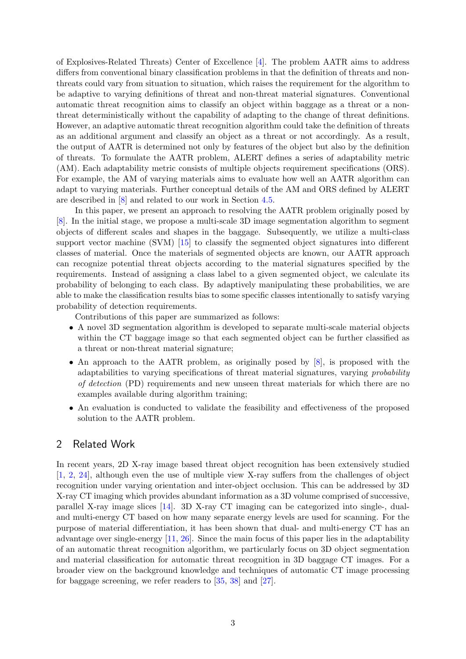of Explosives-Related Threats) Center of Excellence [\[4\]](#page-21-8). The problem AATR aims to address differs from conventional binary classification problems in that the definition of threats and nonthreats could vary from situation to situation, which raises the requirement for the algorithm to be adaptive to varying definitions of threat and non-threat material signatures. Conventional automatic threat recognition aims to classify an object within baggage as a threat or a nonthreat deterministically without the capability of adapting to the change of threat definitions. However, an adaptive automatic threat recognition algorithm could take the definition of threats as an additional argument and classify an object as a threat or not accordingly. As a result, the output of AATR is determined not only by features of the object but also by the definition of threats. To formulate the AATR problem, ALERT defines a series of adaptability metric (AM). Each adaptability metric consists of multiple objects requirement specifications (ORS). For example, the AM of varying materials aims to evaluate how well an AATR algorithm can adapt to varying materials. Further conceptual details of the AM and ORS defined by ALERT are described in [\[8\]](#page-21-7) and related to our work in Section [4.5.](#page-15-0)

In this paper, we present an approach to resolving the AATR problem originally posed by [\[8\]](#page-21-7). In the initial stage, we propose a multi-scale 3D image segmentation algorithm to segment objects of different scales and shapes in the baggage. Subsequently, we utilize a multi-class support vector machine (SVM) [\[15\]](#page-22-8) to classify the segmented object signatures into different classes of material. Once the materials of segmented objects are known, our AATR approach can recognize potential threat objects according to the material signatures specified by the requirements. Instead of assigning a class label to a given segmented object, we calculate its probability of belonging to each class. By adaptively manipulating these probabilities, we are able to make the classification results bias to some specific classes intentionally to satisfy varying probability of detection requirements.

Contributions of this paper are summarized as follows:

- A novel 3D segmentation algorithm is developed to separate multi-scale material objects within the CT baggage image so that each segmented object can be further classified as a threat or non-threat material signature;
- An approach to the AATR problem, as originally posed by [\[8\]](#page-21-7), is proposed with the adaptabilities to varying specifications of threat material signatures, varying probability of detection (PD) requirements and new unseen threat materials for which there are no examples available during algorithm training;
- An evaluation is conducted to validate the feasibility and effectiveness of the proposed solution to the AATR problem.

# 2 Related Work

In recent years, 2D X-ray image based threat object recognition has been extensively studied [\[1,](#page-21-2) [2,](#page-21-0) [24\]](#page-22-9), although even the use of multiple view X-ray suffers from the challenges of object recognition under varying orientation and inter-object occlusion. This can be addressed by 3D X-ray CT imaging which provides abundant information as a 3D volume comprised of successive, parallel X-ray image slices [\[14\]](#page-22-0). 3D X-ray CT imaging can be categorized into single-, dualand multi-energy CT based on how many separate energy levels are used for scanning. For the purpose of material differentiation, it has been shown that dual- and multi-energy CT has an advantage over single-energy [\[11,](#page-21-4) [26\]](#page-23-3). Since the main focus of this paper lies in the adaptability of an automatic threat recognition algorithm, we particularly focus on 3D object segmentation and material classification for automatic threat recognition in 3D baggage CT images. For a broader view on the background knowledge and techniques of automatic CT image processing for baggage screening, we refer readers to [\[35,](#page-23-5) [38\]](#page-23-6) and [\[27\]](#page-23-0).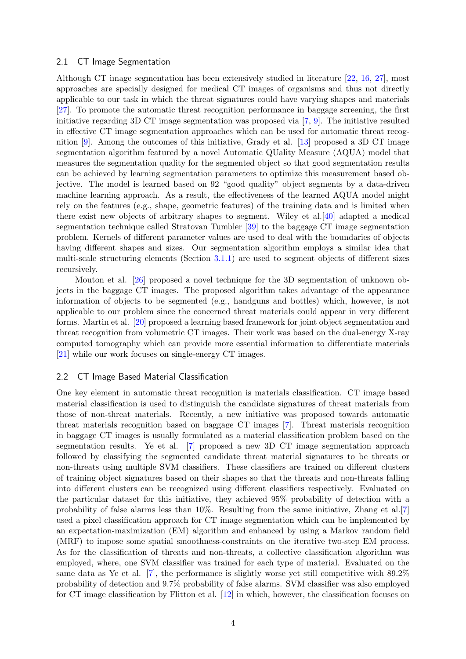#### 2.1 CT Image Segmentation

Although CT image segmentation has been extensively studied in literature [\[22,](#page-22-4) [16,](#page-22-10) [27\]](#page-23-0), most approaches are specially designed for medical CT images of organisms and thus not directly applicable to our task in which the threat signatures could have varying shapes and materials [\[27\]](#page-23-0). To promote the automatic threat recognition performance in baggage screening, the first initiative regarding 3D CT image segmentation was proposed via [\[7,](#page-21-6) [9\]](#page-21-5). The initiative resulted in effective CT image segmentation approaches which can be used for automatic threat recognition [\[9\]](#page-21-5). Among the outcomes of this initiative, Grady et al. [\[13\]](#page-22-11) proposed a 3D CT image segmentation algorithm featured by a novel Automatic QUality Measure (AQUA) model that measures the segmentation quality for the segmented object so that good segmentation results can be achieved by learning segmentation parameters to optimize this measurement based objective. The model is learned based on 92 "good quality" object segments by a data-driven machine learning approach. As a result, the effectiveness of the learned AQUA model might rely on the features (e.g., shape, geometric features) of the training data and is limited when there exist new objects of arbitrary shapes to segment. Wiley et al.[\[40\]](#page-23-2) adapted a medical segmentation technique called Stratovan Tumbler [\[39\]](#page-23-7) to the baggage CT image segmentation problem. Kernels of different parameter values are used to deal with the boundaries of objects having different shapes and sizes. Our segmentation algorithm employs a similar idea that multi-scale structuring elements (Section [3.1.1\)](#page-5-0) are used to segment objects of different sizes recursively.

Mouton et al. [\[26\]](#page-23-3) proposed a novel technique for the 3D segmentation of unknown objects in the baggage CT images. The proposed algorithm takes advantage of the appearance information of objects to be segmented (e.g., handguns and bottles) which, however, is not applicable to our problem since the concerned threat materials could appear in very different forms. Martin et al. [\[20\]](#page-22-5) proposed a learning based framework for joint object segmentation and threat recognition from volumetric CT images. Their work was based on the dual-energy X-ray computed tomography which can provide more essential information to differentiate materials [\[21\]](#page-22-2) while our work focuses on single-energy CT images.

#### 2.2 CT Image Based Material Classification

One key element in automatic threat recognition is materials classification. CT image based material classification is used to distinguish the candidate signatures of threat materials from those of non-threat materials. Recently, a new initiative was proposed towards automatic threat materials recognition based on baggage CT images [\[7\]](#page-21-6). Threat materials recognition in baggage CT images is usually formulated as a material classification problem based on the segmentation results. Ye et al. [\[7\]](#page-21-6) proposed a new 3D CT image segmentation approach followed by classifying the segmented candidate threat material signatures to be threats or non-threats using multiple SVM classifiers. These classifiers are trained on different clusters of training object signatures based on their shapes so that the threats and non-threats falling into different clusters can be recognized using different classifiers respectively. Evaluated on the particular dataset for this initiative, they achieved 95% probability of detection with a probability of false alarms less than 10%. Resulting from the same initiative, Zhang et al.[\[7\]](#page-21-6) used a pixel classification approach for CT image segmentation which can be implemented by an expectation-maximization (EM) algorithm and enhanced by using a Markov random field (MRF) to impose some spatial smoothness-constraints on the iterative two-step EM process. As for the classification of threats and non-threats, a collective classification algorithm was employed, where, one SVM classifier was trained for each type of material. Evaluated on the same data as Ye et al.  $[7]$ , the performance is slightly worse yet still competitive with  $89.2\%$ probability of detection and 9.7% probability of false alarms. SVM classifier was also employed for CT image classification by Flitton et al. [\[12\]](#page-22-1) in which, however, the classification focuses on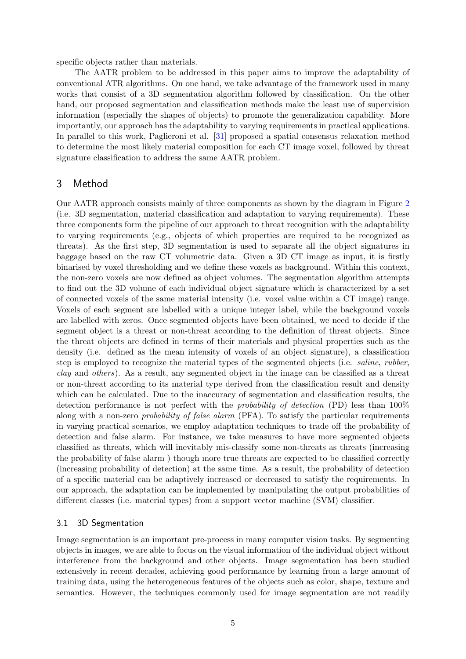specific objects rather than materials.

The AATR problem to be addressed in this paper aims to improve the adaptability of conventional ATR algorithms. On one hand, we take advantage of the framework used in many works that consist of a 3D segmentation algorithm followed by classification. On the other hand, our proposed segmentation and classification methods make the least use of supervision information (especially the shapes of objects) to promote the generalization capability. More importantly, our approach has the adaptability to varying requirements in practical applications. In parallel to this work, Paglieroni et al. [\[31\]](#page-23-4) proposed a spatial consensus relaxation method to determine the most likely material composition for each CT image voxel, followed by threat signature classification to address the same AATR problem.

# <span id="page-4-0"></span>3 Method

Our AATR approach consists mainly of three components as shown by the diagram in Figure [2](#page-5-1) (i.e. 3D segmentation, material classification and adaptation to varying requirements). These three components form the pipeline of our approach to threat recognition with the adaptability to varying requirements (e.g., objects of which properties are required to be recognized as threats). As the first step, 3D segmentation is used to separate all the object signatures in baggage based on the raw CT volumetric data. Given a 3D CT image as input, it is firstly binarised by voxel thresholding and we define these voxels as background. Within this context, the non-zero voxels are now defined as object volumes. The segmentation algorithm attempts to find out the 3D volume of each individual object signature which is characterized by a set of connected voxels of the same material intensity (i.e. voxel value within a CT image) range. Voxels of each segment are labelled with a unique integer label, while the background voxels are labelled with zeros. Once segmented objects have been obtained, we need to decide if the segment object is a threat or non-threat according to the definition of threat objects. Since the threat objects are defined in terms of their materials and physical properties such as the density (i.e. defined as the mean intensity of voxels of an object signature), a classification step is employed to recognize the material types of the segmented objects (i.e. saline, rubber, clay and others). As a result, any segmented object in the image can be classified as a threat or non-threat according to its material type derived from the classification result and density which can be calculated. Due to the inaccuracy of segmentation and classification results, the detection performance is not perfect with the probability of detection (PD) less than 100% along with a non-zero *probability of false alarm* (PFA). To satisfy the particular requirements in varying practical scenarios, we employ adaptation techniques to trade off the probability of detection and false alarm. For instance, we take measures to have more segmented objects classified as threats, which will inevitably mis-classify some non-threats as threats (increasing the probability of false alarm ) though more true threats are expected to be classified correctly (increasing probability of detection) at the same time. As a result, the probability of detection of a specific material can be adaptively increased or decreased to satisfy the requirements. In our approach, the adaptation can be implemented by manipulating the output probabilities of different classes (i.e. material types) from a support vector machine (SVM) classifier.

## <span id="page-4-1"></span>3.1 3D Segmentation

Image segmentation is an important pre-process in many computer vision tasks. By segmenting objects in images, we are able to focus on the visual information of the individual object without interference from the background and other objects. Image segmentation has been studied extensively in recent decades, achieving good performance by learning from a large amount of training data, using the heterogeneous features of the objects such as color, shape, texture and semantics. However, the techniques commonly used for image segmentation are not readily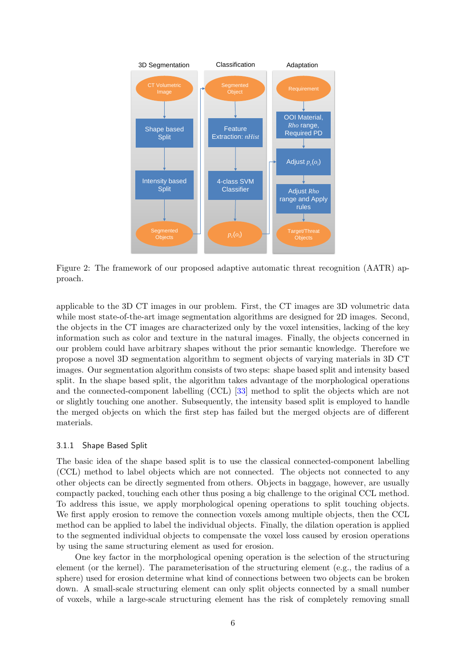<span id="page-5-1"></span>

Figure 2: The framework of our proposed adaptive automatic threat recognition (AATR) approach.

applicable to the 3D CT images in our problem. First, the CT images are 3D volumetric data while most state-of-the-art image segmentation algorithms are designed for 2D images. Second, the objects in the CT images are characterized only by the voxel intensities, lacking of the key information such as color and texture in the natural images. Finally, the objects concerned in our problem could have arbitrary shapes without the prior semantic knowledge. Therefore we propose a novel 3D segmentation algorithm to segment objects of varying materials in 3D CT images. Our segmentation algorithm consists of two steps: shape based split and intensity based split. In the shape based split, the algorithm takes advantage of the morphological operations and the connected-component labelling (CCL) [\[33\]](#page-23-8) method to split the objects which are not or slightly touching one another. Subsequently, the intensity based split is employed to handle the merged objects on which the first step has failed but the merged objects are of different materials.

## <span id="page-5-0"></span>3.1.1 Shape Based Split

The basic idea of the shape based split is to use the classical connected-component labelling (CCL) method to label objects which are not connected. The objects not connected to any other objects can be directly segmented from others. Objects in baggage, however, are usually compactly packed, touching each other thus posing a big challenge to the original CCL method. To address this issue, we apply morphological opening operations to split touching objects. We first apply erosion to remove the connection voxels among multiple objects, then the CCL method can be applied to label the individual objects. Finally, the dilation operation is applied to the segmented individual objects to compensate the voxel loss caused by erosion operations by using the same structuring element as used for erosion.

One key factor in the morphological opening operation is the selection of the structuring element (or the kernel). The parameterisation of the structuring element (e.g., the radius of a sphere) used for erosion determine what kind of connections between two objects can be broken down. A small-scale structuring element can only split objects connected by a small number of voxels, while a large-scale structuring element has the risk of completely removing small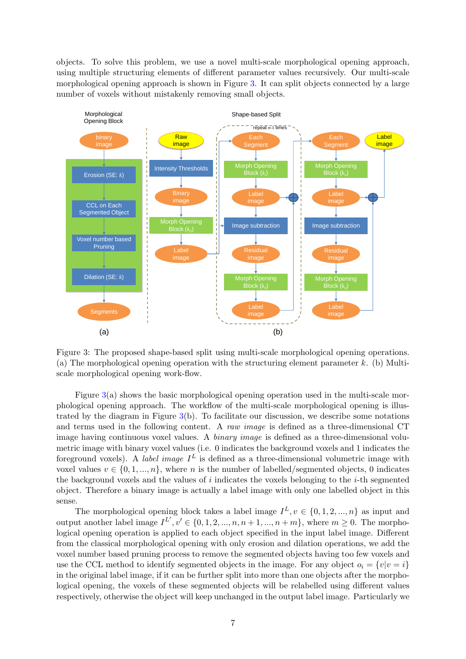objects. To solve this problem, we use a novel multi-scale morphological opening approach, using multiple structuring elements of different parameter values recursively. Our multi-scale morphological opening approach is shown in Figure [3.](#page-6-0) It can split objects connected by a large number of voxels without mistakenly removing small objects.

<span id="page-6-0"></span>

Figure 3: The proposed shape-based split using multi-scale morphological opening operations. (a) The morphological opening operation with the structuring element parameter  $k$ . (b) Multiscale morphological opening work-flow.

Figure [3\(](#page-6-0)a) shows the basic morphological opening operation used in the multi-scale morphological opening approach. The workflow of the multi-scale morphological opening is illustrated by the diagram in Figure [3\(](#page-6-0)b). To facilitate our discussion, we describe some notations and terms used in the following content. A raw image is defined as a three-dimensional CT image having continuous voxel values. A binary image is defined as a three-dimensional volumetric image with binary voxel values (i.e. 0 indicates the background voxels and 1 indicates the foreground voxels). A *label image*  $I^L$  is defined as a three-dimensional volumetric image with voxel values  $v \in \{0, 1, ..., n\}$ , where n is the number of labelled/segmented objects, 0 indicates the background voxels and the values of i indicates the voxels belonging to the  $i$ -th segmented object. Therefore a binary image is actually a label image with only one labelled object in this sense.

The morphological opening block takes a label image  $I^L, v \in \{0, 1, 2, ..., n\}$  as input and output another label image  $I^{L'}, v' \in \{0, 1, 2, ..., n, n+1, ..., n+m\}$ , where  $m \geq 0$ . The morphological opening operation is applied to each object specified in the input label image. Different from the classical morphological opening with only erosion and dilation operations, we add the voxel number based pruning process to remove the segmented objects having too few voxels and use the CCL method to identify segmented objects in the image. For any object  $o_i = \{v|v = i\}$ in the original label image, if it can be further split into more than one objects after the morphological opening, the voxels of these segmented objects will be relabelled using different values respectively, otherwise the object will keep unchanged in the output label image. Particularly we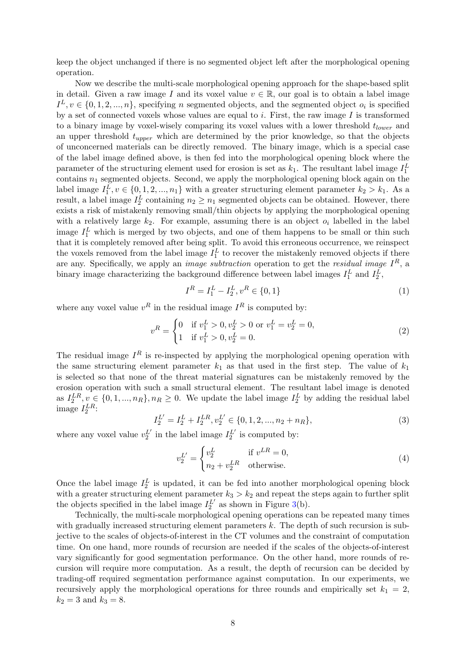keep the object unchanged if there is no segmented object left after the morphological opening operation.

Now we describe the multi-scale morphological opening approach for the shape-based split in detail. Given a raw image I and its voxel value  $v \in \mathbb{R}$ , our goal is to obtain a label image  $I^L, v \in \{0, 1, 2, ..., n\}$ , specifying n segmented objects, and the segmented object  $o_i$  is specified by a set of connected voxels whose values are equal to  $i$ . First, the raw image  $I$  is transformed to a binary image by voxel-wisely comparing its voxel values with a lower threshold  $t_{lower}$  and an upper threshold  $t_{upper}$  which are determined by the prior knowledge, so that the objects of unconcerned materials can be directly removed. The binary image, which is a special case of the label image defined above, is then fed into the morphological opening block where the parameter of the structuring element used for erosion is set as  $k_1$ . The resultant label image  $I_1^L$ contains  $n_1$  segmented objects. Second, we apply the morphological opening block again on the label image  $I_1^L, v \in \{0, 1, 2, ..., n_1\}$  with a greater structuring element parameter  $k_2 > k_1$ . As a result, a label image  $I_2^L$  containing  $n_2 \geq n_1$  segmented objects can be obtained. However, there exists a risk of mistakenly removing small/thin objects by applying the morphological opening with a relatively large  $k_2$ . For example, assuming there is an object  $o_i$  labelled in the label image  $I_1^L$  which is merged by two objects, and one of them happens to be small or thin such that it is completely removed after being split. To avoid this erroneous occurrence, we reinspect the voxels removed from the label image  $I_1^L$  to recover the mistakenly removed objects if there are any. Specifically, we apply an *image subtraction* operation to get the *residual image*  $I^R$ , a binary image characterizing the background difference between label images  $I_1^L$  and  $I_2^L$ ,

$$
I^R = I_1^L - I_2^L, v^R \in \{0, 1\}
$$
 (1)

where any voxel value  $v^R$  in the residual image  $I^R$  is computed by:

$$
v^R = \begin{cases} 0 & \text{if } v_1^L > 0, v_2^L > 0 \text{ or } v_1^L = v_2^L = 0, \\ 1 & \text{if } v_1^L > 0, v_2^L = 0. \end{cases}
$$
 (2)

The residual image  $I^R$  is re-inspected by applying the morphological opening operation with the same structuring element parameter  $k_1$  as that used in the first step. The value of  $k_1$ is selected so that none of the threat material signatures can be mistakenly removed by the erosion operation with such a small structural element. The resultant label image is denoted as  $I_2^{LR}, v \in \{0, 1, ..., n_R\}, n_R \ge 0$ . We update the label image  $I_2^L$  by adding the residual label image  $I_2^{LR}$ :

$$
I_2^{L'} = I_2^L + I_2^{LR}, v_2^{L'} \in \{0, 1, 2, ..., n_2 + n_R\},\tag{3}
$$

where any voxel value  $v_2^{L'}$  in the label image  $I_2^{L'}$  is computed by:

$$
v_2^{L'} = \begin{cases} v_2^L & \text{if } v^{LR} = 0, \\ n_2 + v_2^{LR} & \text{otherwise.} \end{cases}
$$
 (4)

Once the label image  $I_2^L$  is updated, it can be fed into another morphological opening block with a greater structuring element parameter  $k_3 > k_2$  and repeat the steps again to further split the objects specified in the label image  $I_2^{L'}$  as shown in Figure [3\(](#page-6-0)b).

Technically, the multi-scale morphological opening operations can be repeated many times with gradually increased structuring element parameters  $k$ . The depth of such recursion is subjective to the scales of objects-of-interest in the CT volumes and the constraint of computation time. On one hand, more rounds of recursion are needed if the scales of the objects-of-interest vary significantly for good segmentation performance. On the other hand, more rounds of recursion will require more computation. As a result, the depth of recursion can be decided by trading-off required segmentation performance against computation. In our experiments, we recursively apply the morphological operations for three rounds and empirically set  $k_1 = 2$ ,  $k_2 = 3$  and  $k_3 = 8$ .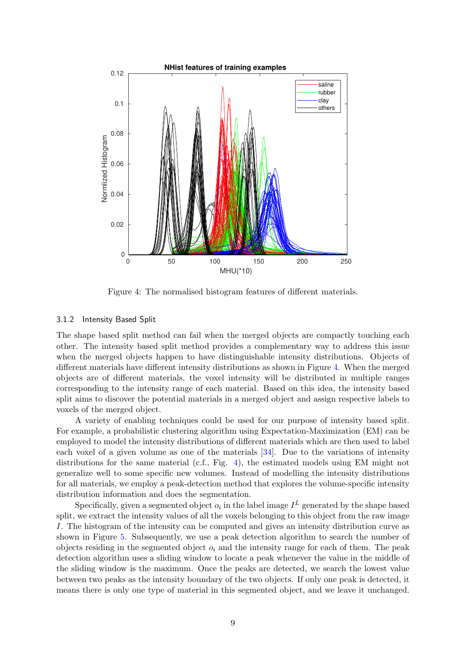<span id="page-8-0"></span>

Figure 4: The normalised histogram features of different materials.

#### 3.1.2 Intensity Based Split

The shape based split method can fail when the merged objects are compactly touching each other. The intensity based split method provides a complementary way to address this issue when the merged objects happen to have distinguishable intensity distributions. Objects of different materials have different intensity distributions as shown in Figure [4.](#page-8-0) When the merged objects are of different materials, the voxel intensity will be distributed in multiple ranges corresponding to the intensity range of each material. Based on this idea, the intensity based split aims to discover the potential materials in a merged object and assign respective labels to voxels of the merged object.

A variety of enabling techniques could be used for our purpose of intensity based split. For example, a probabilistic clustering algorithm using Expectation-Maximization (EM) can be employed to model the intensity distributions of different materials which are then used to label each voxel of a given volume as one of the materials [\[34\]](#page-23-9). Due to the variations of intensity distributions for the same material (c.f., Fig. [4\)](#page-8-0), the estimated models using EM might not generalize well to some specific new volumes. Instead of modelling the intensity distributions for all materials, we employ a peak-detection method that explores the volume-specific intensity distribution information and does the segmentation.

Specifically, given a segmented object  $o_i$  in the label image  $I^L$  generated by the shape based split, we extract the intensity values of all the voxels belonging to this object from the raw image I. The histogram of the intensity can be computed and gives an intensity distribution curve as shown in Figure [5.](#page-9-0) Subsequently, we use a peak detection algorithm to search the number of objects residing in the segmented object  $o_i$  and the intensity range for each of them. The peak detection algorithm uses a sliding window to locate a peak whenever the value in the middle of the sliding window is the maximum. Once the peaks are detected, we search the lowest value between two peaks as the intensity boundary of the two objects. If only one peak is detected, it means there is only one type of material in this segmented object, and we leave it unchanged.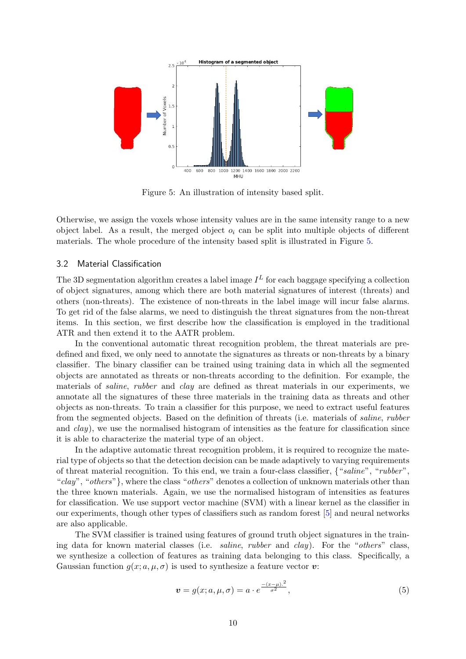<span id="page-9-0"></span>

Figure 5: An illustration of intensity based split.

Otherwise, we assign the voxels whose intensity values are in the same intensity range to a new object label. As a result, the merged object  $o_i$  can be split into multiple objects of different materials. The whole procedure of the intensity based split is illustrated in Figure [5.](#page-9-0)

#### 3.2 Material Classification

The 3D segmentation algorithm creates a label image  $I<sup>L</sup>$  for each baggage specifying a collection of object signatures, among which there are both material signatures of interest (threats) and others (non-threats). The existence of non-threats in the label image will incur false alarms. To get rid of the false alarms, we need to distinguish the threat signatures from the non-threat items. In this section, we first describe how the classification is employed in the traditional ATR and then extend it to the AATR problem.

In the conventional automatic threat recognition problem, the threat materials are predefined and fixed, we only need to annotate the signatures as threats or non-threats by a binary classifier. The binary classifier can be trained using training data in which all the segmented objects are annotated as threats or non-threats according to the definition. For example, the materials of saline, rubber and clay are defined as threat materials in our experiments, we annotate all the signatures of these three materials in the training data as threats and other objects as non-threats. To train a classifier for this purpose, we need to extract useful features from the segmented objects. Based on the definition of threats (i.e. materials of saline, rubber and clay), we use the normalised histogram of intensities as the feature for classification since it is able to characterize the material type of an object.

In the adaptive automatic threat recognition problem, it is required to recognize the material type of objects so that the detection decision can be made adaptively to varying requirements of threat material recognition. To this end, we train a four-class classifier, {"saline", "rubber", "clay", "others"}, where the class "others" denotes a collection of unknown materials other than the three known materials. Again, we use the normalised histogram of intensities as features for classification. We use support vector machine (SVM) with a linear kernel as the classifier in our experiments, though other types of classifiers such as random forest [\[5\]](#page-21-9) and neural networks are also applicable.

The SVM classifier is trained using features of ground truth object signatures in the training data for known material classes (i.e. saline, rubber and clay). For the "others" class, we synthesize a collection of features as training data belonging to this class. Specifically, a Gaussian function  $g(x; a, \mu, \sigma)$  is used to synthesize a feature vector v:

$$
\boldsymbol{v} = g(x; a, \mu, \sigma) = a \cdot e^{\frac{-(x-\mu)^2}{\sigma^2}},\tag{5}
$$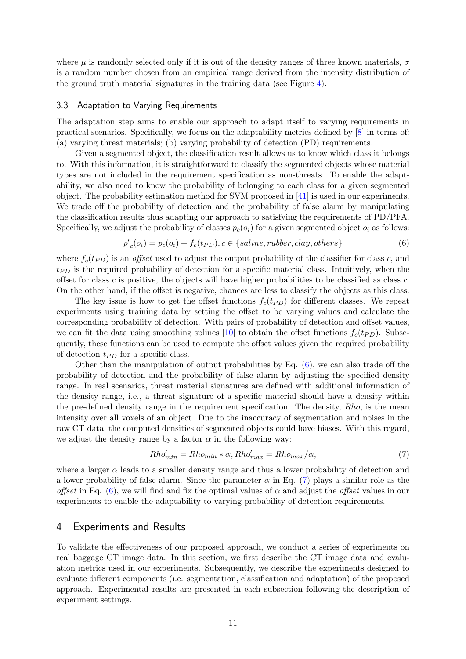where  $\mu$  is randomly selected only if it is out of the density ranges of three known materials,  $\sigma$ is a random number chosen from an empirical range derived from the intensity distribution of the ground truth material signatures in the training data (see Figure [4\)](#page-8-0).

#### <span id="page-10-2"></span>3.3 Adaptation to Varying Requirements

The adaptation step aims to enable our approach to adapt itself to varying requirements in practical scenarios. Specifically, we focus on the adaptability metrics defined by [\[8\]](#page-21-7) in terms of: (a) varying threat materials; (b) varying probability of detection (PD) requirements.

Given a segmented object, the classification result allows us to know which class it belongs to. With this information, it is straightforward to classify the segmented objects whose material types are not included in the requirement specification as non-threats. To enable the adaptability, we also need to know the probability of belonging to each class for a given segmented object. The probability estimation method for SVM proposed in [\[41\]](#page-24-0) is used in our experiments. We trade off the probability of detection and the probability of false alarm by manipulating the classification results thus adapting our approach to satisfying the requirements of PD/PFA. Specifically, we adjust the probability of classes  $p_c(o_i)$  for a given segmented object  $o_i$  as follows:

<span id="page-10-0"></span>
$$
p'_{c}(o_i) = p_c(o_i) + f_c(tp_D), c \in \{saline, rubber, clay, others\}
$$
\n
$$
(6)
$$

where  $f_c(t_{PD})$  is an *offset* used to adjust the output probability of the classifier for class c, and  $tp<sub>D</sub>$  is the required probability of detection for a specific material class. Intuitively, when the offset for class c is positive, the objects will have higher probabilities to be classified as class c. On the other hand, if the offset is negative, chances are less to classify the objects as this class.

The key issue is how to get the offset functions  $f_c(t_{PD})$  for different classes. We repeat experiments using training data by setting the offset to be varying values and calculate the corresponding probability of detection. With pairs of probability of detection and offset values, we can fit the data using smoothing splines [\[10\]](#page-21-10) to obtain the offset functions  $f_c(tp_D)$ . Subsequently, these functions can be used to compute the offset values given the required probability of detection  $t_{PD}$  for a specific class.

Other than the manipulation of output probabilities by Eq. [\(6\)](#page-10-0), we can also trade off the probability of detection and the probability of false alarm by adjusting the specified density range. In real scenarios, threat material signatures are defined with additional information of the density range, i.e., a threat signature of a specific material should have a density within the pre-defined density range in the requirement specification. The density, Rho, is the mean intensity over all voxels of an object. Due to the inaccuracy of segmentation and noises in the raw CT data, the computed densities of segmented objects could have biases. With this regard, we adjust the density range by a factor  $\alpha$  in the following way:

<span id="page-10-1"></span>
$$
Rho'_{min} = Rho_{min} * \alpha, Rho'_{max} = Rho_{max}/\alpha,
$$
\n(7)

where a larger  $\alpha$  leads to a smaller density range and thus a lower probability of detection and a lower probability of false alarm. Since the parameter  $\alpha$  in Eq. [\(7\)](#page-10-1) plays a similar role as the offset in Eq. [\(6\)](#page-10-0), we will find and fix the optimal values of  $\alpha$  and adjust the offset values in our experiments to enable the adaptability to varying probability of detection requirements.

## 4 Experiments and Results

To validate the effectiveness of our proposed approach, we conduct a series of experiments on real baggage CT image data. In this section, we first describe the CT image data and evaluation metrics used in our experiments. Subsequently, we describe the experiments designed to evaluate different components (i.e. segmentation, classification and adaptation) of the proposed approach. Experimental results are presented in each subsection following the description of experiment settings.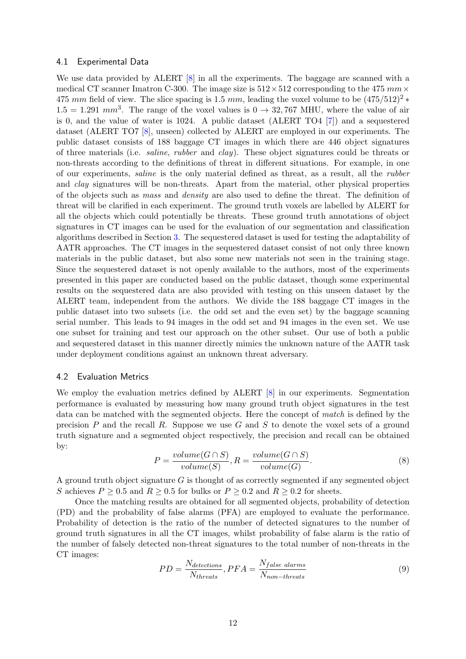#### <span id="page-11-0"></span>4.1 Experimental Data

We use data provided by ALERT [\[8\]](#page-21-7) in all the experiments. The baggage are scanned with a medical CT scanner Imatron C-300. The image size is  $512 \times 512$  corresponding to the 475 mm  $\times$ 475 mm field of view. The slice spacing is 1.5 mm, leading the voxel volume to be  $(475/512)^{2}$  \*  $1.5 = 1.291$  mm<sup>3</sup>. The range of the voxel values is  $0 \rightarrow 32,767$  MHU, where the value of air is 0, and the value of water is 1024. A public dataset (ALERT TO4 [\[7\]](#page-21-6)) and a sequestered dataset (ALERT TO7 [\[8\]](#page-21-7), unseen) collected by ALERT are employed in our experiments. The public dataset consists of 188 baggage CT images in which there are 446 object signatures of three materials (i.e. saline, rubber and clay). These object signatures could be threats or non-threats according to the definitions of threat in different situations. For example, in one of our experiments, saline is the only material defined as threat, as a result, all the rubber and clay signatures will be non-threats. Apart from the material, other physical properties of the objects such as mass and density are also used to define the threat. The definition of threat will be clarified in each experiment. The ground truth voxels are labelled by ALERT for all the objects which could potentially be threats. These ground truth annotations of object signatures in CT images can be used for the evaluation of our segmentation and classification algorithms described in Section [3.](#page-4-0) The sequestered dataset is used for testing the adaptability of AATR approaches. The CT images in the sequestered dataset consist of not only three known materials in the public dataset, but also some new materials not seen in the training stage. Since the sequestered dataset is not openly available to the authors, most of the experiments presented in this paper are conducted based on the public dataset, though some experimental results on the sequestered data are also provided with testing on this unseen dataset by the ALERT team, independent from the authors. We divide the 188 baggage CT images in the public dataset into two subsets (i.e. the odd set and the even set) by the baggage scanning serial number. This leads to 94 images in the odd set and 94 images in the even set. We use one subset for training and test our approach on the other subset. Our use of both a public and sequestered dataset in this manner directly mimics the unknown nature of the AATR task under deployment conditions against an unknown threat adversary.

#### 4.2 Evaluation Metrics

We employ the evaluation metrics defined by ALERT [\[8\]](#page-21-7) in our experiments. Segmentation performance is evaluated by measuring how many ground truth object signatures in the test data can be matched with the segmented objects. Here the concept of match is defined by the precision  $P$  and the recall  $R$ . Suppose we use  $G$  and  $S$  to denote the voxel sets of a ground truth signature and a segmented object respectively, the precision and recall can be obtained by:

$$
P = \frac{volume(G \cap S)}{volume(S)}, R = \frac{volume(G \cap S)}{volume(G)}.
$$
\n
$$
(8)
$$

A ground truth object signature  $G$  is thought of as correctly segmented if any segmented object S achieves  $P \geq 0.5$  and  $R \geq 0.5$  for bulks or  $P \geq 0.2$  and  $R \geq 0.2$  for sheets.

Once the matching results are obtained for all segmented objects, probability of detection (PD) and the probability of false alarms (PFA) are employed to evaluate the performance. Probability of detection is the ratio of the number of detected signatures to the number of ground truth signatures in all the CT images, whilst probability of false alarm is the ratio of the number of falsely detected non-threat signatures to the total number of non-threats in the CT images:

$$
PD = \frac{N_{detection}}{N_{threads}}, PFA = \frac{N_{false \; alarms}}{N_{non-threats}} \tag{9}
$$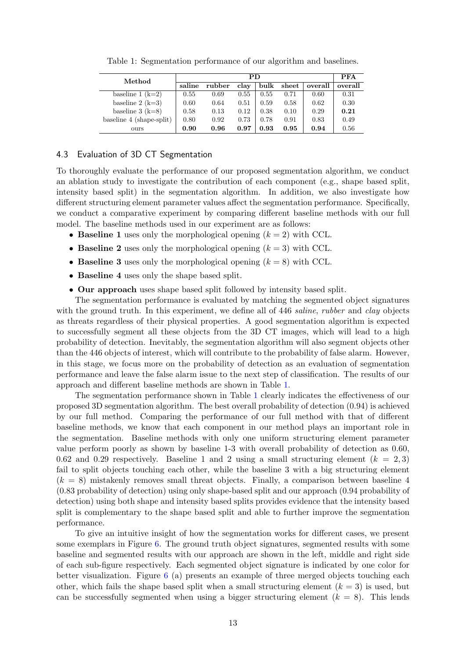<span id="page-12-0"></span>

| Method                   |        | PFA    |      |      |       |         |         |
|--------------------------|--------|--------|------|------|-------|---------|---------|
|                          | saline | rubber | clay | bulk | sheet | overall | overall |
| baseline $1 (k=2)$       | 0.55   | 0.69   | 0.55 | 0.55 | 0.71  | 0.60    | 0.31    |
| baseline $2 (k=3)$       | 0.60   | 0.64   | 0.51 | 0.59 | 0.58  | 0.62    | 0.30    |
| baseline $3(k=8)$        | 0.58   | 0.13   | 0.12 | 0.38 | 0.10  | 0.29    | 0.21    |
| baseline 4 (shape-split) | 0.80   | 0.92   | 0.73 | 0.78 | 0.91  | 0.83    | 0.49    |
| ours                     | 0.90   | 0.96   | 0.97 | 0.93 | 0.95  | 0.94    | 0.56    |

Table 1: Segmentation performance of our algorithm and baselines.

#### 4.3 Evaluation of 3D CT Segmentation

To thoroughly evaluate the performance of our proposed segmentation algorithm, we conduct an ablation study to investigate the contribution of each component (e.g., shape based split, intensity based split) in the segmentation algorithm. In addition, we also investigate how different structuring element parameter values affect the segmentation performance. Specifically, we conduct a comparative experiment by comparing different baseline methods with our full model. The baseline methods used in our experiment are as follows:

- Baseline 1 uses only the morphological opening  $(k = 2)$  with CCL.
- Baseline 2 uses only the morphological opening  $(k = 3)$  with CCL.
- Baseline 3 uses only the morphological opening  $(k = 8)$  with CCL.
- Baseline 4 uses only the shape based split.
- Our approach uses shape based split followed by intensity based split.

The segmentation performance is evaluated by matching the segmented object signatures with the ground truth. In this experiment, we define all of 446 saline, rubber and clay objects as threats regardless of their physical properties. A good segmentation algorithm is expected to successfully segment all these objects from the 3D CT images, which will lead to a high probability of detection. Inevitably, the segmentation algorithm will also segment objects other than the 446 objects of interest, which will contribute to the probability of false alarm. However, in this stage, we focus more on the probability of detection as an evaluation of segmentation performance and leave the false alarm issue to the next step of classification. The results of our approach and different baseline methods are shown in Table [1.](#page-12-0)

The segmentation performance shown in Table [1](#page-12-0) clearly indicates the effectiveness of our proposed 3D segmentation algorithm. The best overall probability of detection (0.94) is achieved by our full method. Comparing the performance of our full method with that of different baseline methods, we know that each component in our method plays an important role in the segmentation. Baseline methods with only one uniform structuring element parameter value perform poorly as shown by baseline 1-3 with overall probability of detection as 0.60, 0.62 and 0.29 respectively. Baseline 1 and 2 using a small structuring element  $(k = 2, 3)$ fail to split objects touching each other, while the baseline 3 with a big structuring element  $(k = 8)$  mistakenly removes small threat objects. Finally, a comparison between baseline 4 (0.83 probability of detection) using only shape-based split and our approach (0.94 probability of detection) using both shape and intensity based splits provides evidence that the intensity based split is complementary to the shape based split and able to further improve the segmentation performance.

To give an intuitive insight of how the segmentation works for different cases, we present some exemplars in Figure [6.](#page-13-0) The ground truth object signatures, segmented results with some baseline and segmented results with our approach are shown in the left, middle and right side of each sub-figure respectively. Each segmented object signature is indicated by one color for better visualization. Figure [6](#page-13-0) (a) presents an example of three merged objects touching each other, which fails the shape based split when a small structuring element  $(k = 3)$  is used, but can be successfully segmented when using a bigger structuring element  $(k = 8)$ . This lends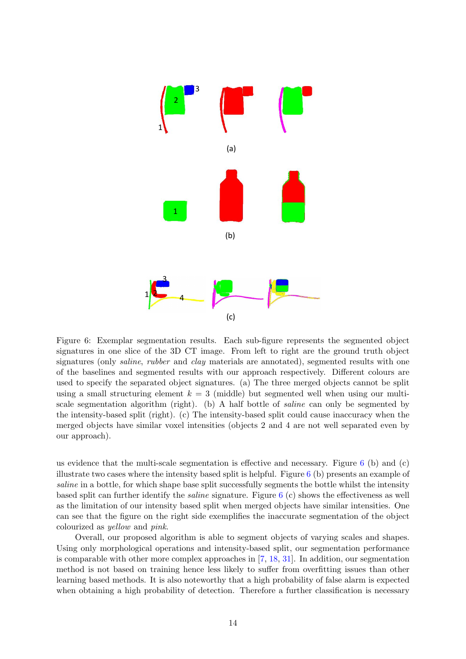<span id="page-13-0"></span>

Figure 6: Exemplar segmentation results. Each sub-figure represents the segmented object signatures in one slice of the 3D CT image. From left to right are the ground truth object signatures (only *saline, rubber* and *clay* materials are annotated), segmented results with one of the baselines and segmented results with our approach respectively. Different colours are used to specify the separated object signatures. (a) The three merged objects cannot be split using a small structuring element  $k = 3$  (middle) but segmented well when using our multiscale segmentation algorithm (right). (b) A half bottle of saline can only be segmented by the intensity-based split (right). (c) The intensity-based split could cause inaccuracy when the merged objects have similar voxel intensities (objects 2 and 4 are not well separated even by our approach).

us evidence that the multi-scale segmentation is effective and necessary. Figure  $6$  (b) and (c) illustrate two cases where the intensity based split is helpful. Figure  $6$  (b) presents an example of saline in a bottle, for which shape base split successfully segments the bottle whilst the intensity based split can further identify the saline signature. Figure [6](#page-13-0) (c) shows the effectiveness as well as the limitation of our intensity based split when merged objects have similar intensities. One can see that the figure on the right side exemplifies the inaccurate segmentation of the object colourized as yellow and pink.

Overall, our proposed algorithm is able to segment objects of varying scales and shapes. Using only morphological operations and intensity-based split, our segmentation performance is comparable with other more complex approaches in [\[7,](#page-21-6) [18,](#page-22-7) [31\]](#page-23-4). In addition, our segmentation method is not based on training hence less likely to suffer from overfitting issues than other learning based methods. It is also noteworthy that a high probability of false alarm is expected when obtaining a high probability of detection. Therefore a further classification is necessary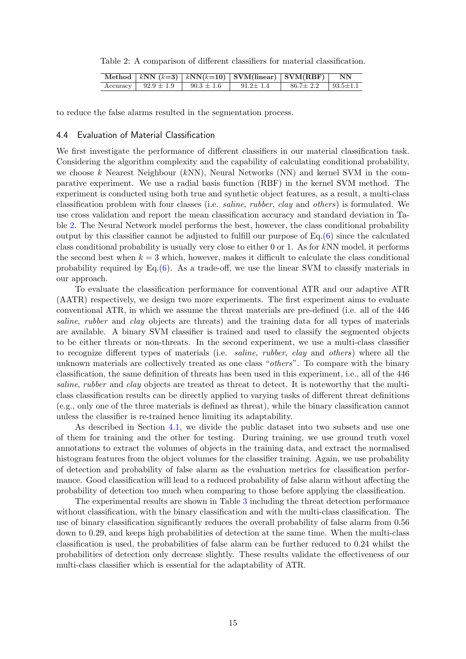<span id="page-14-0"></span>Table 2: A comparison of different classifiers for material classification.

|  |                                                             | Method   kNN $(k=3)$   kNN $(k=10)$   SVM(linear)   SVM(RBF)   NN |                                 |  |
|--|-------------------------------------------------------------|-------------------------------------------------------------------|---------------------------------|--|
|  | Accuracy   $92.9 \pm 1.9$   $90.3 \pm 1.6$   $91.2 \pm 1.4$ |                                                                   | $86.7 \pm 2.2$   $93.5 \pm 1.1$ |  |

to reduce the false alarms resulted in the segmentation process.

#### 4.4 Evaluation of Material Classification

We first investigate the performance of different classifiers in our material classification task. Considering the algorithm complexity and the capability of calculating conditional probability, we choose k Nearest Neighbour  $(kNN)$ , Neural Networks  $(NN)$  and kernel SVM in the comparative experiment. We use a radial basis function (RBF) in the kernel SVM method. The experiment is conducted using both true and synthetic object features, as a result, a multi-class classification problem with four classes (i.e. saline, rubber, clay and others) is formulated. We use cross validation and report the mean classification accuracy and standard deviation in Table [2.](#page-14-0) The Neural Network model performs the best, however, the class conditional probability output by this classifier cannot be adjusted to fulfill our purpose of Eq.[\(6\)](#page-10-0) since the calculated class conditional probability is usually very close to either 0 or 1. As for  $kNN$  model, it performs the second best when  $k = 3$  which, however, makes it difficult to calculate the class conditional probability required by Eq. $(6)$ . As a trade-off, we use the linear SVM to classify materials in our approach.

To evaluate the classification performance for conventional ATR and our adaptive ATR (AATR) respectively, we design two more experiments. The first experiment aims to evaluate conventional ATR, in which we assume the threat materials are pre-defined (i.e. all of the 446 saline, rubber and clay objects are threats) and the training data for all types of materials are available. A binary SVM classifier is trained and used to classify the segmented objects to be either threats or non-threats. In the second experiment, we use a multi-class classifier to recognize different types of materials (i.e. saline, rubber, clay and others) where all the unknown materials are collectively treated as one class "others". To compare with the binary classification, the same definition of threats has been used in this experiment, i.e., all of the 446 saline, rubber and clay objects are treated as threat to detect. It is noteworthy that the multiclass classification results can be directly applied to varying tasks of different threat definitions (e.g., only one of the three materials is defined as threat), while the binary classification cannot unless the classifier is re-trained hence limiting its adaptability.

As described in Section [4.1,](#page-11-0) we divide the public dataset into two subsets and use one of them for training and the other for testing. During training, we use ground truth voxel annotations to extract the volumes of objects in the training data, and extract the normalised histogram features from the object volumes for the classifier training. Again, we use probability of detection and probability of false alarm as the evaluation metrics for classification performance. Good classification will lead to a reduced probability of false alarm without affecting the probability of detection too much when comparing to those before applying the classification.

The experimental results are shown in Table [3](#page-15-1) including the threat detection performance without classification, with the binary classification and with the multi-class classification. The use of binary classification significantly reduces the overall probability of false alarm from 0.56 down to 0.29, and keeps high probabilities of detection at the same time. When the multi-class classification is used, the probabilities of false alarm can be further reduced to 0.24 whilst the probabilities of detection only decrease slightly. These results validate the effectiveness of our multi-class classifier which is essential for the adaptability of ATR.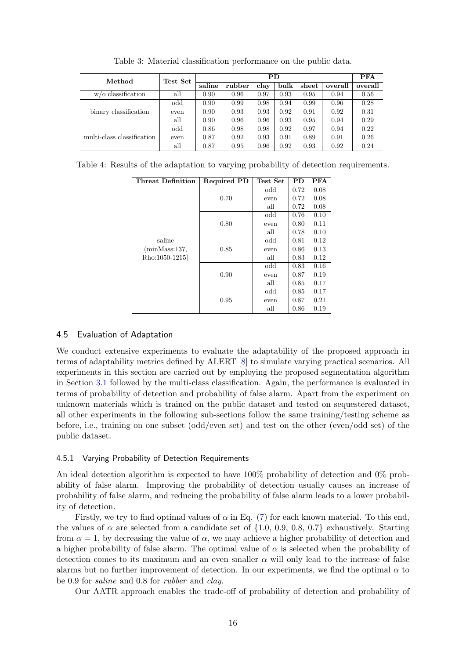<span id="page-15-1"></span>

| Method                     | Test Set |        | <b>PFA</b> |      |      |       |         |         |
|----------------------------|----------|--------|------------|------|------|-------|---------|---------|
|                            |          | saline | rubber     | clay | bulk | sheet | overall | overall |
| $w$ /o classification      | all      | 0.90   | 0.96       | 0.97 | 0.93 | 0.95  | 0.94    | 0.56    |
|                            | odd      | 0.90   | 0.99       | 0.98 | 0.94 | 0.99  | 0.96    | 0.28    |
| binary classification      | even     | 0.90   | 0.93       | 0.93 | 0.92 | 0.91  | 0.92    | 0.31    |
|                            | all      | 0.90   | 0.96       | 0.96 | 0.93 | 0.95  | 0.94    | 0.29    |
|                            | odd      | 0.86   | 0.98       | 0.98 | 0.92 | 0.97  | 0.94    | 0.22    |
| multi-class classification | even     | 0.87   | 0.92       | 0.93 | 0.91 | 0.89  | 0.91    | 0.26    |
|                            | all      | 0.87   | 0.95       | 0.96 | 0.92 | 0.93  | 0.92    | 0.24    |

Table 3: Material classification performance on the public data.

<span id="page-15-2"></span>

|  |  |  | Table 4: Results of the adaptation to varying probability of detection requirements. |  |  |
|--|--|--|--------------------------------------------------------------------------------------|--|--|
|  |  |  |                                                                                      |  |  |

| Threat Definition | <b>Required PD</b> | Test Set | PD   | <b>PFA</b> |
|-------------------|--------------------|----------|------|------------|
|                   |                    | odd      | 0.72 | 0.08       |
|                   | 0.70               | even     | 0.72 | 0.08       |
|                   |                    | all      | 0.72 | 0.08       |
|                   |                    | odd      | 0.76 | 0.10       |
|                   | 0.80               | even     | 0.80 | 0.11       |
| saline            |                    | all      | 0.78 | 0.10       |
|                   |                    | odd      | 0.81 | 0.12       |
| (minMass:137,     | 0.85               | even     | 0.86 | 0.13       |
| Rho:1050-1215)    |                    | all      | 0.83 | 0.12       |
|                   |                    | odd      | 0.83 | 0.16       |
|                   | 0.90               | even     | 0.87 | 0.19       |
|                   |                    | all      | 0.85 | 0.17       |
|                   |                    | odd      | 0.85 | 0.17       |
|                   | 0.95               | even     | 0.87 | 0.21       |
|                   |                    | all      | 0.86 | 0.19       |

## <span id="page-15-0"></span>4.5 Evaluation of Adaptation

We conduct extensive experiments to evaluate the adaptability of the proposed approach in terms of adaptability metrics defined by ALERT [\[8\]](#page-21-7) to simulate varying practical scenarios. All experiments in this section are carried out by employing the proposed segmentation algorithm in Section [3.1](#page-4-1) followed by the multi-class classification. Again, the performance is evaluated in terms of probability of detection and probability of false alarm. Apart from the experiment on unknown materials which is trained on the public dataset and tested on sequestered dataset, all other experiments in the following sub-sections follow the same training/testing scheme as before, i.e., training on one subset (odd/even set) and test on the other (even/odd set) of the public dataset.

## 4.5.1 Varying Probability of Detection Requirements

An ideal detection algorithm is expected to have 100% probability of detection and 0% probability of false alarm. Improving the probability of detection usually causes an increase of probability of false alarm, and reducing the probability of false alarm leads to a lower probability of detection.

Firstly, we try to find optimal values of  $\alpha$  in Eq. [\(7\)](#page-10-1) for each known material. To this end, the values of  $\alpha$  are selected from a candidate set of  $\{1.0, 0.9, 0.8, 0.7\}$  exhaustively. Starting from  $\alpha = 1$ , by decreasing the value of  $\alpha$ , we may achieve a higher probability of detection and a higher probability of false alarm. The optimal value of  $\alpha$  is selected when the probability of detection comes to its maximum and an even smaller  $\alpha$  will only lead to the increase of false alarms but no further improvement of detection. In our experiments, we find the optimal  $\alpha$  to be 0.9 for saline and 0.8 for rubber and clay.

Our AATR approach enables the trade-off of probability of detection and probability of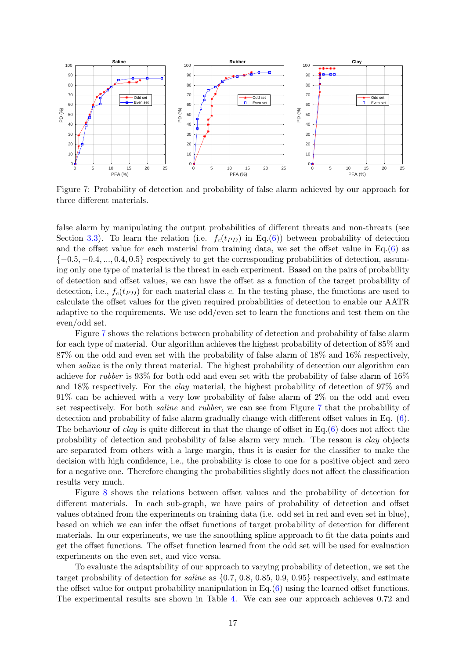<span id="page-16-0"></span>

Figure 7: Probability of detection and probability of false alarm achieved by our approach for three different materials.

false alarm by manipulating the output probabilities of different threats and non-threats (see Section [3.3\)](#page-10-2). To learn the relation (i.e.  $f_c(tp_D)$  in Eq.[\(6\)](#page-10-0)) between probability of detection and the offset value for each material from training data, we set the offset value in  $Eq.(6)$  $Eq.(6)$  as  $\{-0.5, -0.4, ..., 0.4, 0.5\}$  respectively to get the corresponding probabilities of detection, assuming only one type of material is the threat in each experiment. Based on the pairs of probability of detection and offset values, we can have the offset as a function of the target probability of detection, i.e.,  $f_c(t_{PD})$  for each material class c. In the testing phase, the functions are used to calculate the offset values for the given required probabilities of detection to enable our AATR adaptive to the requirements. We use odd/even set to learn the functions and test them on the even/odd set.

Figure [7](#page-16-0) shows the relations between probability of detection and probability of false alarm for each type of material. Our algorithm achieves the highest probability of detection of 85% and 87% on the odd and even set with the probability of false alarm of 18% and 16% respectively, when *saline* is the only threat material. The highest probability of detection our algorithm can achieve for *rubber* is 93% for both odd and even set with the probability of false alarm of  $16\%$ and 18% respectively. For the clay material, the highest probability of detection of 97% and 91% can be achieved with a very low probability of false alarm of 2% on the odd and even set respectively. For both saline and rubber, we can see from Figure [7](#page-16-0) that the probability of detection and probability of false alarm gradually change with different offset values in Eq. [\(6\)](#page-10-0). The behaviour of *clay* is quite different in that the change of offset in Eq. $(6)$  does not affect the probability of detection and probability of false alarm very much. The reason is clay objects are separated from others with a large margin, thus it is easier for the classifier to make the decision with high confidence, i.e., the probability is close to one for a positive object and zero for a negative one. Therefore changing the probabilities slightly does not affect the classification results very much.

Figure [8](#page-17-0) shows the relations between offset values and the probability of detection for different materials. In each sub-graph, we have pairs of probability of detection and offset values obtained from the experiments on training data (i.e. odd set in red and even set in blue), based on which we can infer the offset functions of target probability of detection for different materials. In our experiments, we use the smoothing spline approach to fit the data points and get the offset functions. The offset function learned from the odd set will be used for evaluation experiments on the even set, and vice versa.

To evaluate the adaptability of our approach to varying probability of detection, we set the target probability of detection for *saline* as  $\{0.7, 0.8, 0.85, 0.9, 0.95\}$  respectively, and estimate the offset value for output probability manipulation in Eq.[\(6\)](#page-10-0) using the learned offset functions. The experimental results are shown in Table [4.](#page-15-2) We can see our approach achieves 0.72 and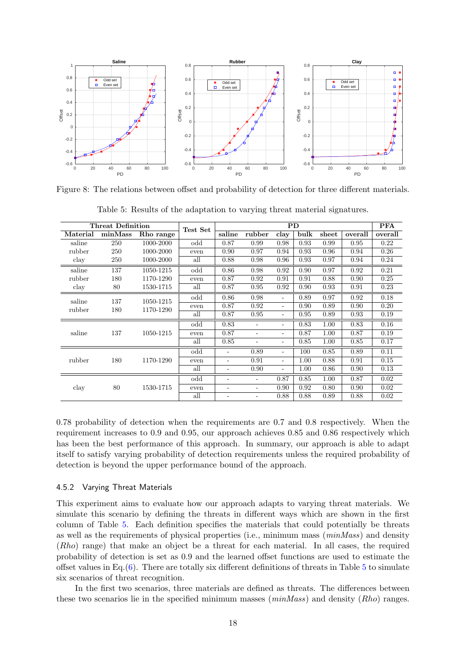<span id="page-17-0"></span>

<span id="page-17-1"></span>Figure 8: The relations between offset and probability of detection for three different materials.

| <b>Threat Definition</b> |                  | Test Set  | <b>PD</b>                |                          |                          |                          |      |       | <b>PFA</b> |         |
|--------------------------|------------------|-----------|--------------------------|--------------------------|--------------------------|--------------------------|------|-------|------------|---------|
| Material                 | minMass          | Rho range |                          | saline                   | rubber                   | clay                     | bulk | sheet | overall    | overall |
| saline                   | 250              | 1000-2000 | odd                      | 0.87                     | 0.99                     | 0.98                     | 0.93 | 0.99  | 0.95       | 0.22    |
| rubber                   | 250              | 1000-2000 | even                     | 0.90                     | 0.97                     | 0.94                     | 0.93 | 0.96  | 0.94       | 0.26    |
| clay                     | 250              | 1000-2000 | all                      | 0.88                     | 0.98                     | 0.96                     | 0.93 | 0.97  | 0.94       | 0.24    |
| saline                   | 137              | 1050-1215 | odd                      | 0.86                     | 0.98                     | 0.92                     | 0.90 | 0.97  | 0.92       | 0.21    |
| rubber                   | 180              | 1170-1290 | even                     | 0.87                     | 0.92                     | 0.91                     | 0.91 | 0.88  | 0.90       | 0.25    |
| clay                     | 80               | 1530-1715 | all                      | 0.87                     | 0.95                     | 0.92                     | 0.90 | 0.93  | 0.91       | 0.23    |
| saline                   |                  | 1050-1215 | odd                      | 0.86                     | 0.98                     | $\overline{\phantom{a}}$ | 0.89 | 0.97  | 0.92       | 0.18    |
| rubber                   | 137              |           | even                     | 0.87                     | 0.92                     | $\overline{\phantom{a}}$ | 0.90 | 0.89  | 0.90       | 0.20    |
|                          | 180<br>1170-1290 |           | all                      | 0.87                     | 0.95                     | $\overline{\phantom{a}}$ | 0.95 | 0.89  | 0.93       | 0.19    |
|                          |                  |           | odd                      | 0.83                     | ÷                        |                          | 0.83 | 1.00  | 0.83       | 0.16    |
| saline                   | 137              | 1050-1215 | even                     | 0.87                     | ٠                        | $\overline{\phantom{a}}$ | 0.87 | 1.00  | 0.87       | 0.19    |
|                          |                  |           | all                      | 0.85                     | ٠                        | $\overline{\phantom{a}}$ | 0.85 | 1.00  | 0.85       | 0.17    |
|                          |                  |           | odd                      | -                        | 0.89                     | ٠                        | 100  | 0.85  | 0.89       | 0.11    |
| rubber                   | 180              | 1170-1290 | even                     | -                        | 0.91                     | $\overline{\phantom{a}}$ | 1.00 | 0.88  | 0.91       | 0.15    |
|                          |                  | all       | -                        | 0.90                     | $\overline{\phantom{a}}$ | 1.00                     | 0.86 | 0.90  | 0.13       |         |
|                          |                  |           | odd                      | $\overline{\phantom{0}}$ | ۰                        | 0.87                     | 0.85 | 1.00  | 0.87       | 0.02    |
| clay                     | 80               | 1530-1715 | even                     |                          | ٠                        | 0.90                     | 0.92 | 0.80  | 0.90       | 0.02    |
|                          |                  | all       | $\overline{\phantom{0}}$ | ۰                        | 0.88                     | 0.88                     | 0.89 | 0.88  | 0.02       |         |

Table 5: Results of the adaptation to varying threat material signatures.

0.78 probability of detection when the requirements are 0.7 and 0.8 respectively. When the requirement increases to 0.9 and 0.95, our approach achieves 0.85 and 0.86 respectively which has been the best performance of this approach. In summary, our approach is able to adapt itself to satisfy varying probability of detection requirements unless the required probability of detection is beyond the upper performance bound of the approach.

#### 4.5.2 Varying Threat Materials

This experiment aims to evaluate how our approach adapts to varying threat materials. We simulate this scenario by defining the threats in different ways which are shown in the first column of Table [5.](#page-17-1) Each definition specifies the materials that could potentially be threats as well as the requirements of physical properties (i.e., minimum mass  $(minMass)$  and density (Rho) range) that make an object be a threat for each material. In all cases, the required probability of detection is set as 0.9 and the learned offset functions are used to estimate the offset values in Eq. $(6)$ . There are totally six different definitions of threats in Table [5](#page-17-1) to simulate six scenarios of threat recognition.

In the first two scenarios, three materials are defined as threats. The differences between these two scenarios lie in the specified minimum masses  $(minMass)$  and density  $(Rho)$  ranges.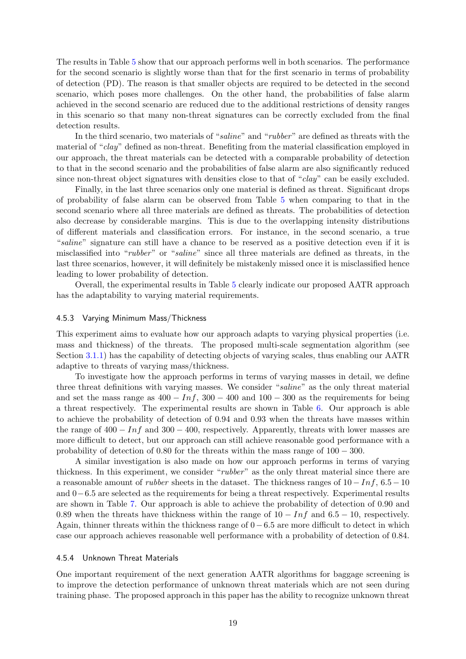The results in Table [5](#page-17-1) show that our approach performs well in both scenarios. The performance for the second scenario is slightly worse than that for the first scenario in terms of probability of detection (PD). The reason is that smaller objects are required to be detected in the second scenario, which poses more challenges. On the other hand, the probabilities of false alarm achieved in the second scenario are reduced due to the additional restrictions of density ranges in this scenario so that many non-threat signatures can be correctly excluded from the final detection results.

In the third scenario, two materials of "saline" and "rubber" are defined as threats with the material of "clay" defined as non-threat. Benefiting from the material classification employed in our approach, the threat materials can be detected with a comparable probability of detection to that in the second scenario and the probabilities of false alarm are also significantly reduced since non-threat object signatures with densities close to that of "clay" can be easily excluded.

Finally, in the last three scenarios only one material is defined as threat. Significant drops of probability of false alarm can be observed from Table [5](#page-17-1) when comparing to that in the second scenario where all three materials are defined as threats. The probabilities of detection also decrease by considerable margins. This is due to the overlapping intensity distributions of different materials and classification errors. For instance, in the second scenario, a true "saline" signature can still have a chance to be reserved as a positive detection even if it is misclassified into "rubber" or "saline" since all three materials are defined as threats, in the last three scenarios, however, it will definitely be mistakenly missed once it is misclassified hence leading to lower probability of detection.

Overall, the experimental results in Table [5](#page-17-1) clearly indicate our proposed AATR approach has the adaptability to varying material requirements.

#### 4.5.3 Varying Minimum Mass/Thickness

This experiment aims to evaluate how our approach adapts to varying physical properties (i.e. mass and thickness) of the threats. The proposed multi-scale segmentation algorithm (see Section [3.1.1\)](#page-5-0) has the capability of detecting objects of varying scales, thus enabling our AATR adaptive to threats of varying mass/thickness.

To investigate how the approach performs in terms of varying masses in detail, we define three threat definitions with varying masses. We consider "saline" as the only threat material and set the mass range as  $400 - Inf$ ,  $300 - 400$  and  $100 - 300$  as the requirements for being a threat respectively. The experimental results are shown in Table [6.](#page-19-0) Our approach is able to achieve the probability of detection of 0.94 and 0.93 when the threats have masses within the range of  $400 - Inf$  and  $300 - 400$ , respectively. Apparently, threats with lower masses are more difficult to detect, but our approach can still achieve reasonable good performance with a probability of detection of 0.80 for the threats within the mass range of 100 − 300.

A similar investigation is also made on how our approach performs in terms of varying thickness. In this experiment, we consider "rubber" as the only threat material since there are a reasonable amount of *rubber* sheets in the dataset. The thickness ranges of  $10 - Inf$ ,  $6.5 - 10$ and 0−6.5 are selected as the requirements for being a threat respectively. Experimental results are shown in Table [7.](#page-19-1) Our approach is able to achieve the probability of detection of 0.90 and 0.89 when the threats have thickness within the range of  $10 - Inf$  and  $6.5 - 10$ , respectively. Again, thinner threats within the thickness range of  $0 - 6.5$  are more difficult to detect in which case our approach achieves reasonable well performance with a probability of detection of 0.84.

#### 4.5.4 Unknown Threat Materials

One important requirement of the next generation AATR algorithms for baggage screening is to improve the detection performance of unknown threat materials which are not seen during training phase. The proposed approach in this paper has the ability to recognize unknown threat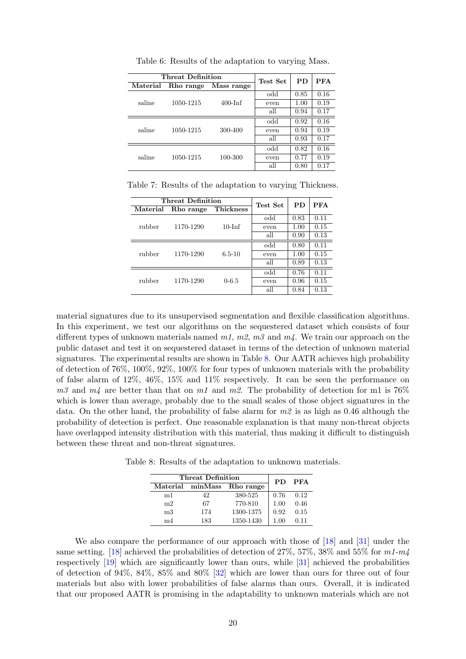<span id="page-19-0"></span>

|          | Threat Definition | Test Set   | PD   | <b>PFA</b> |      |
|----------|-------------------|------------|------|------------|------|
| Material | Rho range         | Mass range |      |            |      |
|          |                   |            | odd  | 0.85       | 0.16 |
| saline   | 1050-1215         | $400$ -Inf | even | 1.00       | 0.19 |
|          |                   |            | all  | 0.94       | 0.17 |
|          | 1050-1215         |            | odd  | 0.92       | 0.16 |
| saline   |                   | 300-400    | even | 0.94       | 0.19 |
|          |                   |            | all  | 0.93       | 0.17 |
|          | 1050-1215         |            | odd  | 0.82       | 0.16 |
| saline   |                   | 100-300    | even | 0.77       | 0.19 |
|          |                   |            | all  | 0.80       | 0.17 |

Table 6: Results of the adaptation to varying Mass.

<span id="page-19-1"></span>Table 7: Results of the adaptation to varying Thickness.

| <b>Threat Definition</b> | Test Set  | <b>PD</b>        | <b>PFA</b> |      |      |
|--------------------------|-----------|------------------|------------|------|------|
| Material                 | Rho range | <b>Thickness</b> |            |      |      |
| rubber                   |           |                  | odd        | 0.83 | 0.11 |
|                          | 1170-1290 | $10$ -Inf        | even       | 1.00 | 0.15 |
|                          |           |                  | all        | 0.90 | 0.13 |
|                          | 1170-1290 |                  | odd        | 0.80 | 0.11 |
| rubber                   |           | $6.5 - 10$       | even       | 1.00 | 0.15 |
|                          |           |                  | all        | 0.89 | 0.13 |
|                          | 1170-1290 |                  | odd        | 0.76 | 0.11 |
| rubber                   |           | $0 - 6.5$        | even       | 0.96 | 0.15 |
|                          |           |                  | all        | 0.84 | 0.13 |

material signatures due to its unsupervised segmentation and flexible classification algorithms. In this experiment, we test our algorithms on the sequestered dataset which consists of four different types of unknown materials named  $m_1$ ,  $m_2$ ,  $m_3$  and  $m_4$ . We train our approach on the public dataset and test it on sequestered dataset in terms of the detection of unknown material signatures. The experimental results are shown in Table [8.](#page-19-2) Our AATR achieves high probability of detection of 76%, 100%, 92%, 100% for four types of unknown materials with the probability of false alarm of 12%, 46%, 15% and 11% respectively. It can be seen the performance on  $m3$  and  $m4$  are better than that on m1 and m2. The probability of detection for m1 is 76% which is lower than average, probably due to the small scales of those object signatures in the data. On the other hand, the probability of false alarm for  $m\ell$  is as high as 0.46 although the probability of detection is perfect. One reasonable explanation is that many non-threat objects have overlapped intensity distribution with this material, thus making it difficult to distinguish between these threat and non-threat signatures.

<span id="page-19-2"></span>Table 8: Results of the adaptation to unknown materials.

|                | Threat Definition |                            |      |      |  |
|----------------|-------------------|----------------------------|------|------|--|
|                |                   | Material minMass Rho range | PD.  | PFA  |  |
| m1             | 42                | 380-525                    | 0.76 | 0.12 |  |
| m <sub>2</sub> | 67                | 770-810                    | 1.00 | 0.46 |  |
| m <sub>3</sub> | 174               | 1300-1375                  | 0.92 | 0.15 |  |
| m4             | 183               | 1350-1430                  | 100  | 011  |  |

We also compare the performance of our approach with those of [\[18\]](#page-22-7) and [\[31\]](#page-23-4) under the same setting. [\[18\]](#page-22-7) achieved the probabilities of detection of 27%, 57%, 38% and 55% for  $m1-m4$ respectively [\[19\]](#page-22-12) which are significantly lower than ours, while [\[31\]](#page-23-4) achieved the probabilities of detection of 94%, 84%, 85% and 80% [\[32\]](#page-23-10) which are lower than ours for three out of four materials but also with lower probabilities of false alarms than ours. Overall, it is indicated that our proposed AATR is promising in the adaptability to unknown materials which are not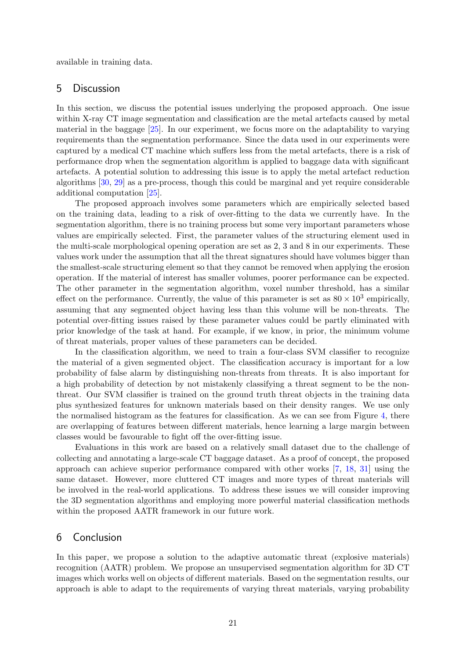available in training data.

## 5 Discussion

In this section, we discuss the potential issues underlying the proposed approach. One issue within X-ray CT image segmentation and classification are the metal artefacts caused by metal material in the baggage [\[25\]](#page-22-13). In our experiment, we focus more on the adaptability to varying requirements than the segmentation performance. Since the data used in our experiments were captured by a medical CT machine which suffers less from the metal artefacts, there is a risk of performance drop when the segmentation algorithm is applied to baggage data with significant artefacts. A potential solution to addressing this issue is to apply the metal artefact reduction algorithms [\[30,](#page-23-11) [29\]](#page-23-12) as a pre-process, though this could be marginal and yet require considerable additional computation [\[25\]](#page-22-13).

The proposed approach involves some parameters which are empirically selected based on the training data, leading to a risk of over-fitting to the data we currently have. In the segmentation algorithm, there is no training process but some very important parameters whose values are empirically selected. First, the parameter values of the structuring element used in the multi-scale morphological opening operation are set as 2, 3 and 8 in our experiments. These values work under the assumption that all the threat signatures should have volumes bigger than the smallest-scale structuring element so that they cannot be removed when applying the erosion operation. If the material of interest has smaller volumes, poorer performance can be expected. The other parameter in the segmentation algorithm, voxel number threshold, has a similar effect on the performance. Currently, the value of this parameter is set as  $80 \times 10^3$  empirically, assuming that any segmented object having less than this volume will be non-threats. The potential over-fitting issues raised by these parameter values could be partly eliminated with prior knowledge of the task at hand. For example, if we know, in prior, the minimum volume of threat materials, proper values of these parameters can be decided.

In the classification algorithm, we need to train a four-class SVM classifier to recognize the material of a given segmented object. The classification accuracy is important for a low probability of false alarm by distinguishing non-threats from threats. It is also important for a high probability of detection by not mistakenly classifying a threat segment to be the nonthreat. Our SVM classifier is trained on the ground truth threat objects in the training data plus synthesized features for unknown materials based on their density ranges. We use only the normalised histogram as the features for classification. As we can see from Figure [4,](#page-8-0) there are overlapping of features between different materials, hence learning a large margin between classes would be favourable to fight off the over-fitting issue.

Evaluations in this work are based on a relatively small dataset due to the challenge of collecting and annotating a large-scale CT baggage dataset. As a proof of concept, the proposed approach can achieve superior performance compared with other works [\[7,](#page-21-6) [18,](#page-22-7) [31\]](#page-23-4) using the same dataset. However, more cluttered CT images and more types of threat materials will be involved in the real-world applications. To address these issues we will consider improving the 3D segmentation algorithms and employing more powerful material classification methods within the proposed AATR framework in our future work.

# 6 Conclusion

In this paper, we propose a solution to the adaptive automatic threat (explosive materials) recognition (AATR) problem. We propose an unsupervised segmentation algorithm for 3D CT images which works well on objects of different materials. Based on the segmentation results, our approach is able to adapt to the requirements of varying threat materials, varying probability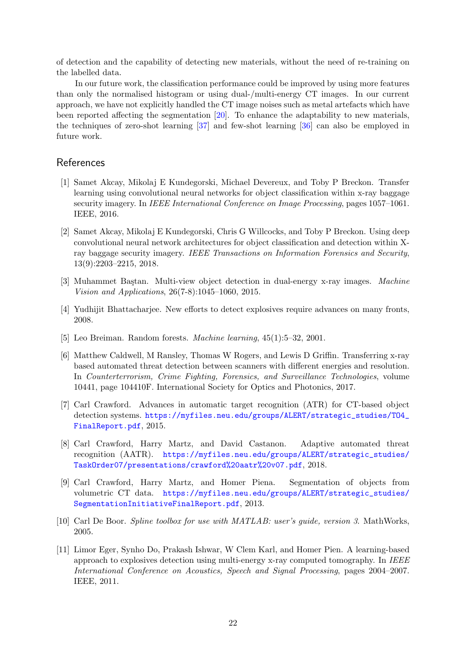of detection and the capability of detecting new materials, without the need of re-training on the labelled data.

In our future work, the classification performance could be improved by using more features than only the normalised histogram or using dual-/multi-energy CT images. In our current approach, we have not explicitly handled the CT image noises such as metal artefacts which have been reported affecting the segmentation [\[20\]](#page-22-5). To enhance the adaptability to new materials, the techniques of zero-shot learning [\[37\]](#page-23-13) and few-shot learning [\[36\]](#page-23-14) can also be employed in future work.

# References

- <span id="page-21-2"></span>[1] Samet Akcay, Mikolaj E Kundegorski, Michael Devereux, and Toby P Breckon. Transfer learning using convolutional neural networks for object classification within x-ray baggage security imagery. In IEEE International Conference on Image Processing, pages 1057–1061. IEEE, 2016.
- <span id="page-21-0"></span>[2] Samet Akcay, Mikolaj E Kundegorski, Chris G Willcocks, and Toby P Breckon. Using deep convolutional neural network architectures for object classification and detection within Xray baggage security imagery. IEEE Transactions on Information Forensics and Security, 13(9):2203–2215, 2018.
- <span id="page-21-1"></span>[3] Muhammet Baştan. Multi-view object detection in dual-energy x-ray images. Machine Vision and Applications, 26(7-8):1045–1060, 2015.
- <span id="page-21-8"></span>[4] Yudhijit Bhattacharjee. New efforts to detect explosives require advances on many fronts, 2008.
- <span id="page-21-9"></span>[5] Leo Breiman. Random forests. Machine learning, 45(1):5–32, 2001.
- <span id="page-21-3"></span>[6] Matthew Caldwell, M Ransley, Thomas W Rogers, and Lewis D Griffin. Transferring x-ray based automated threat detection between scanners with different energies and resolution. In Counterterrorism, Crime Fighting, Forensics, and Surveillance Technologies, volume 10441, page 104410F. International Society for Optics and Photonics, 2017.
- <span id="page-21-6"></span>[7] Carl Crawford. Advances in automatic target recognition (ATR) for CT-based object detection systems. [https://myfiles.neu.edu/groups/ALERT/strategic\\_studies/TO4\\_](https://myfiles.neu.edu/groups/ALERT/strategic_studies/TO4_FinalReport.pdf) [FinalReport.pdf](https://myfiles.neu.edu/groups/ALERT/strategic_studies/TO4_FinalReport.pdf), 2015.
- <span id="page-21-7"></span>[8] Carl Crawford, Harry Martz, and David Castanon. Adaptive automated threat recognition (AATR). [https://myfiles.neu.edu/groups/ALERT/strategic\\_studies/](https://myfiles.neu.edu/groups/ALERT/strategic_studies/TaskOrder07/presentations/crawford%20aatr%20v07.pdf) [TaskOrder07/presentations/crawford%20aatr%20v07.pdf](https://myfiles.neu.edu/groups/ALERT/strategic_studies/TaskOrder07/presentations/crawford%20aatr%20v07.pdf), 2018.
- <span id="page-21-5"></span>[9] Carl Crawford, Harry Martz, and Homer Piena. Segmentation of objects from volumetric CT data. [https://myfiles.neu.edu/groups/ALERT/strategic\\_studies/](https://myfiles.neu.edu/groups/ALERT/strategic_studies/SegmentationInitiativeFinalReport.pdf) [SegmentationInitiativeFinalReport.pdf](https://myfiles.neu.edu/groups/ALERT/strategic_studies/SegmentationInitiativeFinalReport.pdf), 2013.
- <span id="page-21-10"></span>[10] Carl De Boor. Spline toolbox for use with MATLAB: user's guide, version 3. MathWorks, 2005.
- <span id="page-21-4"></span>[11] Limor Eger, Synho Do, Prakash Ishwar, W Clem Karl, and Homer Pien. A learning-based approach to explosives detection using multi-energy x-ray computed tomography. In IEEE International Conference on Acoustics, Speech and Signal Processing, pages 2004–2007. IEEE, 2011.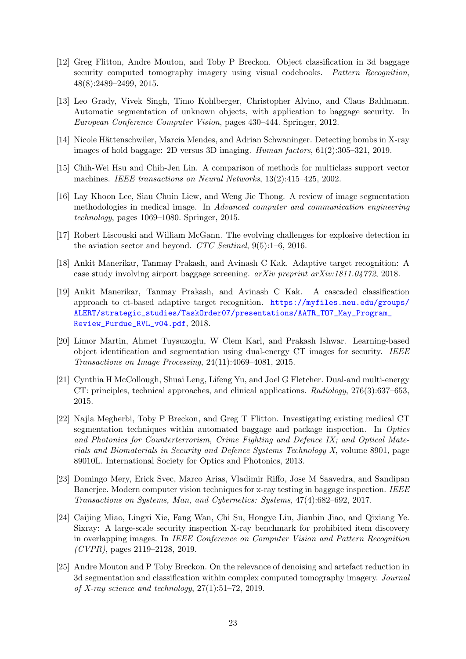- <span id="page-22-1"></span>[12] Greg Flitton, Andre Mouton, and Toby P Breckon. Object classification in 3d baggage security computed tomography imagery using visual codebooks. Pattern Recognition, 48(8):2489–2499, 2015.
- <span id="page-22-11"></span>[13] Leo Grady, Vivek Singh, Timo Kohlberger, Christopher Alvino, and Claus Bahlmann. Automatic segmentation of unknown objects, with application to baggage security. In European Conference Computer Vision, pages 430–444. Springer, 2012.
- <span id="page-22-0"></span>[14] Nicole Hättenschwiler, Marcia Mendes, and Adrian Schwaninger. Detecting bombs in X-ray images of hold baggage: 2D versus 3D imaging. Human factors, 61(2):305–321, 2019.
- <span id="page-22-8"></span>[15] Chih-Wei Hsu and Chih-Jen Lin. A comparison of methods for multiclass support vector machines. IEEE transactions on Neural Networks, 13(2):415–425, 2002.
- <span id="page-22-10"></span>[16] Lay Khoon Lee, Siau Chuin Liew, and Weng Jie Thong. A review of image segmentation methodologies in medical image. In Advanced computer and communication engineering technology, pages 1069–1080. Springer, 2015.
- <span id="page-22-6"></span>[17] Robert Liscouski and William McGann. The evolving challenges for explosive detection in the aviation sector and beyond. CTC Sentinel, 9(5):1–6, 2016.
- <span id="page-22-7"></span>[18] Ankit Manerikar, Tanmay Prakash, and Avinash C Kak. Adaptive target recognition: A case study involving airport baggage screening. arXiv preprint arXiv:1811.04772, 2018.
- <span id="page-22-12"></span>[19] Ankit Manerikar, Tanmay Prakash, and Avinash C Kak. A cascaded classification approach to ct-based adaptive target recognition. [https://myfiles.neu.edu/groups/](https://myfiles.neu.edu/groups/ALERT/strategic_studies/TaskOrder07/presentations/AATR_TO7_May_Program_Review_Purdue_RVL_v04.pdf) [ALERT/strategic\\_studies/TaskOrder07/presentations/AATR\\_TO7\\_May\\_Program\\_](https://myfiles.neu.edu/groups/ALERT/strategic_studies/TaskOrder07/presentations/AATR_TO7_May_Program_Review_Purdue_RVL_v04.pdf) [Review\\_Purdue\\_RVL\\_v04.pdf](https://myfiles.neu.edu/groups/ALERT/strategic_studies/TaskOrder07/presentations/AATR_TO7_May_Program_Review_Purdue_RVL_v04.pdf), 2018.
- <span id="page-22-5"></span>[20] Limor Martin, Ahmet Tuysuzoglu, W Clem Karl, and Prakash Ishwar. Learning-based object identification and segmentation using dual-energy CT images for security. IEEE Transactions on Image Processing, 24(11):4069–4081, 2015.
- <span id="page-22-2"></span>[21] Cynthia H McCollough, Shuai Leng, Lifeng Yu, and Joel G Fletcher. Dual-and multi-energy CT: principles, technical approaches, and clinical applications. Radiology, 276(3):637–653, 2015.
- <span id="page-22-4"></span>[22] Najla Megherbi, Toby P Breckon, and Greg T Flitton. Investigating existing medical CT segmentation techniques within automated baggage and package inspection. In Optics and Photonics for Counterterrorism, Crime Fighting and Defence IX; and Optical Materials and Biomaterials in Security and Defence Systems Technology X, volume 8901, page 89010L. International Society for Optics and Photonics, 2013.
- <span id="page-22-3"></span>[23] Domingo Mery, Erick Svec, Marco Arias, Vladimir Riffo, Jose M Saavedra, and Sandipan Banerjee. Modern computer vision techniques for x-ray testing in baggage inspection. IEEE Transactions on Systems, Man, and Cybernetics: Systems, 47(4):682–692, 2017.
- <span id="page-22-9"></span>[24] Caijing Miao, Lingxi Xie, Fang Wan, Chi Su, Hongye Liu, Jianbin Jiao, and Qixiang Ye. Sixray: A large-scale security inspection X-ray benchmark for prohibited item discovery in overlapping images. In IEEE Conference on Computer Vision and Pattern Recognition  $(CVPR)$ , pages 2119–2128, 2019.
- <span id="page-22-13"></span>[25] Andre Mouton and P Toby Breckon. On the relevance of denoising and artefact reduction in 3d segmentation and classification within complex computed tomography imagery. Journal of X-ray science and technology,  $27(1):51-72$ ,  $2019$ .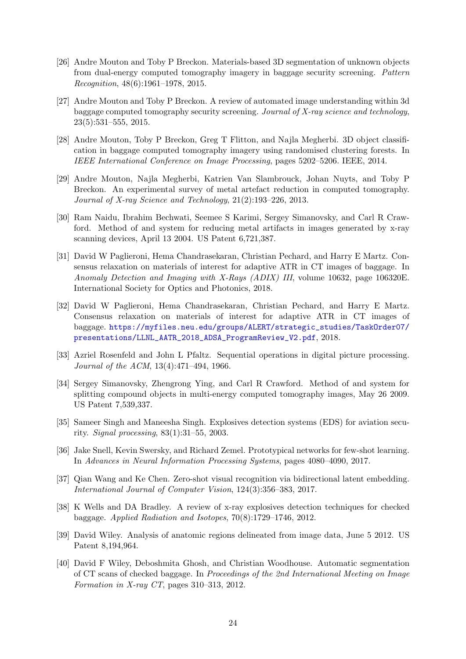- <span id="page-23-3"></span>[26] Andre Mouton and Toby P Breckon. Materials-based 3D segmentation of unknown objects from dual-energy computed tomography imagery in baggage security screening. Pattern Recognition, 48(6):1961–1978, 2015.
- <span id="page-23-0"></span>[27] Andre Mouton and Toby P Breckon. A review of automated image understanding within 3d baggage computed tomography security screening. Journal of X-ray science and technology, 23(5):531–555, 2015.
- <span id="page-23-1"></span>[28] Andre Mouton, Toby P Breckon, Greg T Flitton, and Najla Megherbi. 3D object classification in baggage computed tomography imagery using randomised clustering forests. In IEEE International Conference on Image Processing, pages 5202–5206. IEEE, 2014.
- <span id="page-23-12"></span>[29] Andre Mouton, Najla Megherbi, Katrien Van Slambrouck, Johan Nuyts, and Toby P Breckon. An experimental survey of metal artefact reduction in computed tomography. Journal of X-ray Science and Technology, 21(2):193–226, 2013.
- <span id="page-23-11"></span>[30] Ram Naidu, Ibrahim Bechwati, Seemee S Karimi, Sergey Simanovsky, and Carl R Crawford. Method of and system for reducing metal artifacts in images generated by x-ray scanning devices, April 13 2004. US Patent 6,721,387.
- <span id="page-23-4"></span>[31] David W Paglieroni, Hema Chandrasekaran, Christian Pechard, and Harry E Martz. Consensus relaxation on materials of interest for adaptive ATR in CT images of baggage. In Anomaly Detection and Imaging with X-Rays (ADIX) III, volume 10632, page 106320E. International Society for Optics and Photonics, 2018.
- <span id="page-23-10"></span>[32] David W Paglieroni, Hema Chandrasekaran, Christian Pechard, and Harry E Martz. Consensus relaxation on materials of interest for adaptive ATR in CT images of baggage. [https://myfiles.neu.edu/groups/ALERT/strategic\\_studies/TaskOrder07/](https://myfiles.neu.edu/groups/ALERT/strategic_studies/TaskOrder07/presentations/LLNL_AATR_2018_ADSA_ProgramReview_V2.pdf) [presentations/LLNL\\_AATR\\_2018\\_ADSA\\_ProgramReview\\_V2.pdf](https://myfiles.neu.edu/groups/ALERT/strategic_studies/TaskOrder07/presentations/LLNL_AATR_2018_ADSA_ProgramReview_V2.pdf), 2018.
- <span id="page-23-8"></span>[33] Azriel Rosenfeld and John L Pfaltz. Sequential operations in digital picture processing. Journal of the ACM, 13(4):471–494, 1966.
- <span id="page-23-9"></span>[34] Sergey Simanovsky, Zhengrong Ying, and Carl R Crawford. Method of and system for splitting compound objects in multi-energy computed tomography images, May 26 2009. US Patent 7,539,337.
- <span id="page-23-5"></span>[35] Sameer Singh and Maneesha Singh. Explosives detection systems (EDS) for aviation security. Signal processing, 83(1):31–55, 2003.
- <span id="page-23-14"></span>[36] Jake Snell, Kevin Swersky, and Richard Zemel. Prototypical networks for few-shot learning. In Advances in Neural Information Processing Systems, pages 4080–4090, 2017.
- <span id="page-23-13"></span>[37] Qian Wang and Ke Chen. Zero-shot visual recognition via bidirectional latent embedding. International Journal of Computer Vision, 124(3):356–383, 2017.
- <span id="page-23-6"></span>[38] K Wells and DA Bradley. A review of x-ray explosives detection techniques for checked baggage. Applied Radiation and Isotopes, 70(8):1729–1746, 2012.
- <span id="page-23-7"></span>[39] David Wiley. Analysis of anatomic regions delineated from image data, June 5 2012. US Patent 8,194,964.
- <span id="page-23-2"></span>[40] David F Wiley, Deboshmita Ghosh, and Christian Woodhouse. Automatic segmentation of CT scans of checked baggage. In Proceedings of the 2nd International Meeting on Image Formation in X-ray CT, pages 310–313, 2012.